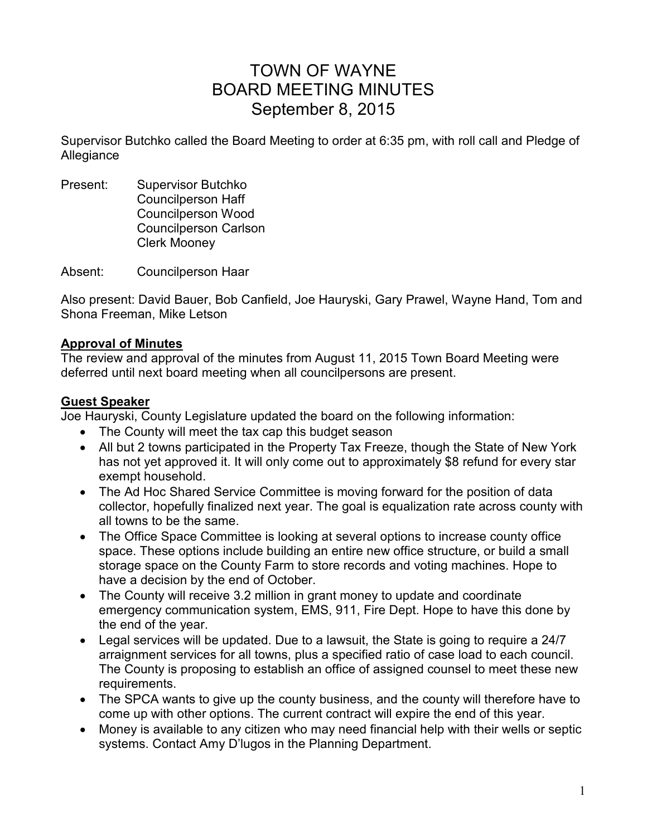# TOWN OF WAYNE BOARD MEETING MINUTES September 8, 2015

Supervisor Butchko called the Board Meeting to order at 6:35 pm, with roll call and Pledge of Allegiance

Present: Supervisor Butchko Councilperson Haff Councilperson Wood Councilperson Carlson Clerk Mooney

Absent: Councilperson Haar

Also present: David Bauer, Bob Canfield, Joe Hauryski, Gary Prawel, Wayne Hand, Tom and Shona Freeman, Mike Letson

## **Approval of Minutes**

The review and approval of the minutes from August 11, 2015 Town Board Meeting were deferred until next board meeting when all councilpersons are present.

#### **Guest Speaker**

Joe Hauryski, County Legislature updated the board on the following information:

- The County will meet the tax cap this budget season
- All but 2 towns participated in the Property Tax Freeze, though the State of New York has not yet approved it. It will only come out to approximately \$8 refund for every star exempt household.
- The Ad Hoc Shared Service Committee is moving forward for the position of data collector, hopefully finalized next year. The goal is equalization rate across county with all towns to be the same.
- The Office Space Committee is looking at several options to increase county office space. These options include building an entire new office structure, or build a small storage space on the County Farm to store records and voting machines. Hope to have a decision by the end of October.
- The County will receive 3.2 million in grant money to update and coordinate emergency communication system, EMS, 911, Fire Dept. Hope to have this done by the end of the year.
- Legal services will be updated. Due to a lawsuit, the State is going to require a 24/7 arraignment services for all towns, plus a specified ratio of case load to each council. The County is proposing to establish an office of assigned counsel to meet these new requirements.
- The SPCA wants to give up the county business, and the county will therefore have to come up with other options. The current contract will expire the end of this year.
- Money is available to any citizen who may need financial help with their wells or septic systems. Contact Amy D'lugos in the Planning Department.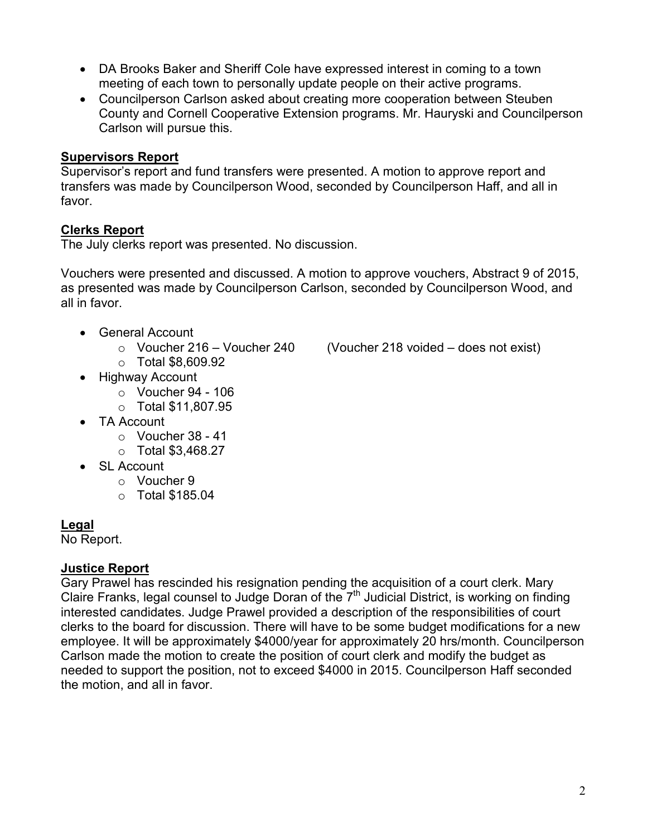- DA Brooks Baker and Sheriff Cole have expressed interest in coming to a town meeting of each town to personally update people on their active programs.
- Councilperson Carlson asked about creating more cooperation between Steuben County and Cornell Cooperative Extension programs. Mr. Hauryski and Councilperson Carlson will pursue this.

## **Supervisors Report**

Supervisor's report and fund transfers were presented. A motion to approve report and transfers was made by Councilperson Wood, seconded by Councilperson Haff, and all in favor.

# **Clerks Report**

The July clerks report was presented. No discussion.

Vouchers were presented and discussed. A motion to approve vouchers, Abstract 9 of 2015, as presented was made by Councilperson Carlson, seconded by Councilperson Wood, and all in favor.

- General Account
	-
	- o Total \$8,609.92
- Highway Account
	- $\circ$  Voucher 94 106
	- o Total \$11,807.95
- TA Account
	- $\circ$  Voucher 38 41
	- o Total \$3,468.27
- SL Account
	- o Voucher 9
	- o Total \$185.04

# **Legal**

No Report.

## **Justice Report**

Gary Prawel has rescinded his resignation pending the acquisition of a court clerk. Mary Claire Franks, legal counsel to Judge Doran of the  $7<sup>th</sup>$  Judicial District, is working on finding interested candidates. Judge Prawel provided a description of the responsibilities of court clerks to the board for discussion. There will have to be some budget modifications for a new employee. It will be approximately \$4000/year for approximately 20 hrs/month. Councilperson Carlson made the motion to create the position of court clerk and modify the budget as needed to support the position, not to exceed \$4000 in 2015. Councilperson Haff seconded the motion, and all in favor.

 $\circ$  Voucher 216 – Voucher 240 (Voucher 218 voided – does not exist)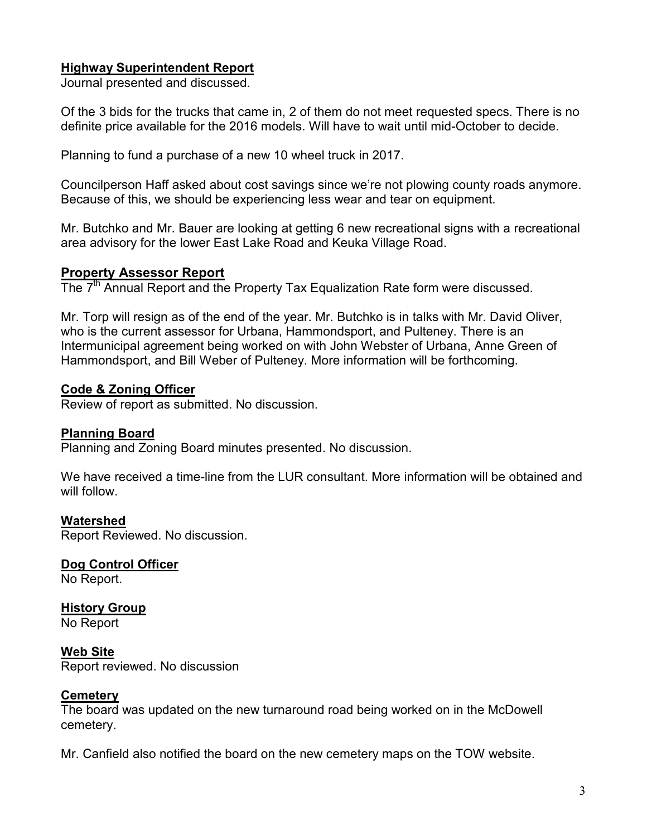## **Highway Superintendent Report**

Journal presented and discussed.

Of the 3 bids for the trucks that came in, 2 of them do not meet requested specs. There is no definite price available for the 2016 models. Will have to wait until mid-October to decide.

Planning to fund a purchase of a new 10 wheel truck in 2017.

Councilperson Haff asked about cost savings since we're not plowing county roads anymore. Because of this, we should be experiencing less wear and tear on equipment.

Mr. Butchko and Mr. Bauer are looking at getting 6 new recreational signs with a recreational area advisory for the lower East Lake Road and Keuka Village Road.

# **Property Assessor Report**

The 7<sup>th</sup> Annual Report and the Property Tax Equalization Rate form were discussed.

Mr. Torp will resign as of the end of the year. Mr. Butchko is in talks with Mr. David Oliver, who is the current assessor for Urbana, Hammondsport, and Pulteney. There is an Intermunicipal agreement being worked on with John Webster of Urbana, Anne Green of Hammondsport, and Bill Weber of Pulteney. More information will be forthcoming.

## **Code & Zoning Officer**

Review of report as submitted. No discussion.

## **Planning Board**

Planning and Zoning Board minutes presented. No discussion.

We have received a time-line from the LUR consultant. More information will be obtained and will follow.

#### **Watershed**

Report Reviewed. No discussion.

**Dog Control Officer**  No Report.

**History Group**  No Report

**Web Site**  Report reviewed. No discussion

## **Cemetery**

The board was updated on the new turnaround road being worked on in the McDowell cemetery.

Mr. Canfield also notified the board on the new cemetery maps on the TOW website.